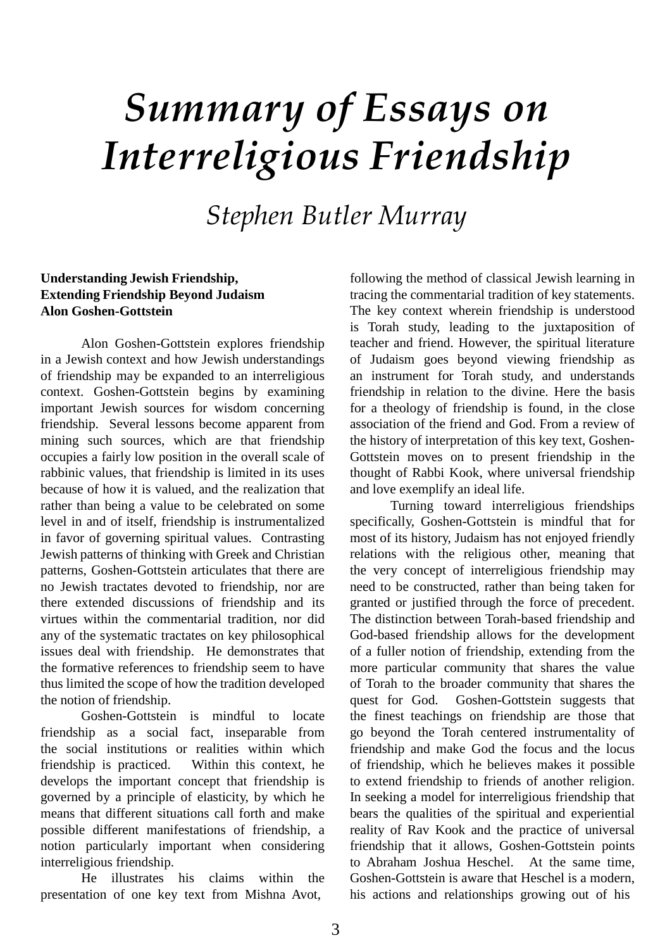# *Summary of Essays on Interreligious Friendship*

*Stephen Butler Murray*

#### **Understanding Jewish Friendship, Extending Friendship Beyond Judaism Alon Goshen-Gottstein**

Alon Goshen-Gottstein explores friendship in a Jewish context and how Jewish understandings of friendship may be expanded to an interreligious context. Goshen-Gottstein begins by examining important Jewish sources for wisdom concerning friendship. Several lessons become apparent from mining such sources, which are that friendship occupies a fairly low position in the overall scale of rabbinic values, that friendship is limited in its uses because of how it is valued, and the realization that rather than being a value to be celebrated on some level in and of itself, friendship is instrumentalized in favor of governing spiritual values. Contrasting Jewish patterns of thinking with Greek and Christian patterns, Goshen-Gottstein articulates that there are no Jewish tractates devoted to friendship, nor are there extended discussions of friendship and its virtues within the commentarial tradition, nor did any of the systematic tractates on key philosophical issues deal with friendship. He demonstrates that the formative references to friendship seem to have thus limited the scope of how the tradition developed the notion of friendship.

Goshen-Gottstein is mindful to locate friendship as a social fact, inseparable from the social institutions or realities within which friendship is practiced. Within this context, he develops the important concept that friendship is governed by a principle of elasticity, by which he means that different situations call forth and make possible different manifestations of friendship, a notion particularly important when considering interreligious friendship.

He illustrates his claims within the presentation of one key text from Mishna Avot,

following the method of classical Jewish learning in tracing the commentarial tradition of key statements. The key context wherein friendship is understood is Torah study, leading to the juxtaposition of teacher and friend. However, the spiritual literature of Judaism goes beyond viewing friendship as an instrument for Torah study, and understands friendship in relation to the divine. Here the basis for a theology of friendship is found, in the close association of the friend and God. From a review of the history of interpretation of this key text, Goshen-Gottstein moves on to present friendship in the thought of Rabbi Kook, where universal friendship and love exemplify an ideal life.

Turning toward interreligious friendships specifically, Goshen-Gottstein is mindful that for most of its history, Judaism has not enjoyed friendly relations with the religious other, meaning that the very concept of interreligious friendship may need to be constructed, rather than being taken for granted or justified through the force of precedent. The distinction between Torah-based friendship and God-based friendship allows for the development of a fuller notion of friendship, extending from the more particular community that shares the value of Torah to the broader community that shares the quest for God. Goshen-Gottstein suggests that the finest teachings on friendship are those that go beyond the Torah centered instrumentality of friendship and make God the focus and the locus of friendship, which he believes makes it possible to extend friendship to friends of another religion. In seeking a model for interreligious friendship that bears the qualities of the spiritual and experiential reality of Rav Kook and the practice of universal friendship that it allows, Goshen-Gottstein points to Abraham Joshua Heschel. At the same time, Goshen-Gottstein is aware that Heschel is a modern, his actions and relationships growing out of his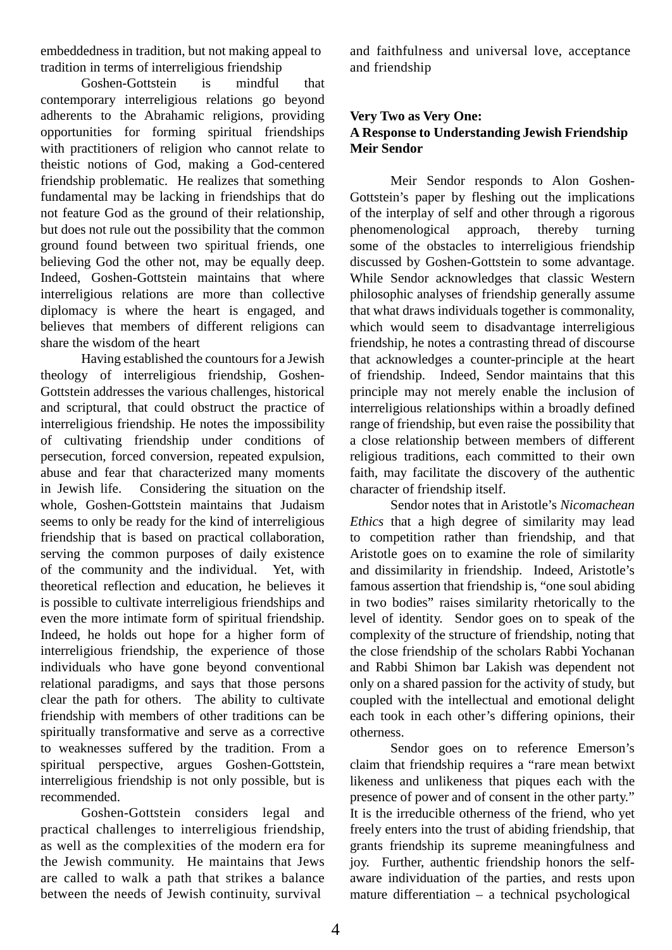embeddedness in tradition, but not making appeal to tradition in terms of interreligious friendship

Goshen-Gottstein is mindful that contemporary interreligious relations go beyond adherents to the Abrahamic religions, providing opportunities for forming spiritual friendships with practitioners of religion who cannot relate to theistic notions of God, making a God-centered friendship problematic. He realizes that something fundamental may be lacking in friendships that do not feature God as the ground of their relationship, but does not rule out the possibility that the common ground found between two spiritual friends, one believing God the other not, may be equally deep. Indeed, Goshen-Gottstein maintains that where interreligious relations are more than collective diplomacy is where the heart is engaged, and believes that members of different religions can share the wisdom of the heart

Having established the countours for a Jewish theology of interreligious friendship, Goshen-Gottstein addresses the various challenges, historical and scriptural, that could obstruct the practice of interreligious friendship. He notes the impossibility of cultivating friendship under conditions of persecution, forced conversion, repeated expulsion, abuse and fear that characterized many moments in Jewish life. Considering the situation on the whole, Goshen-Gottstein maintains that Judaism seems to only be ready for the kind of interreligious friendship that is based on practical collaboration, serving the common purposes of daily existence of the community and the individual. Yet, with theoretical reflection and education, he believes it is possible to cultivate interreligious friendships and even the more intimate form of spiritual friendship. Indeed, he holds out hope for a higher form of interreligious friendship, the experience of those individuals who have gone beyond conventional relational paradigms, and says that those persons clear the path for others. The ability to cultivate friendship with members of other traditions can be spiritually transformative and serve as a corrective to weaknesses suffered by the tradition. From a spiritual perspective, argues Goshen-Gottstein, interreligious friendship is not only possible, but is recommended.

Goshen-Gottstein considers legal and practical challenges to interreligious friendship, as well as the complexities of the modern era for the Jewish community. He maintains that Jews are called to walk a path that strikes a balance between the needs of Jewish continuity, survival

and faithfulness and universal love, acceptance and friendship

# **Very Two as Very One: A Response to Understanding Jewish Friendship Meir Sendor**

Meir Sendor responds to Alon Goshen-Gottstein's paper by fleshing out the implications of the interplay of self and other through a rigorous<br>phenomenological approach, thereby turning phenomenological approach, thereby turning some of the obstacles to interreligious friendship discussed by Goshen-Gottstein to some advantage. While Sendor acknowledges that classic Western philosophic analyses of friendship generally assume that what draws individuals together is commonality, which would seem to disadvantage interreligious friendship, he notes a contrasting thread of discourse that acknowledges a counter-principle at the heart of friendship. Indeed, Sendor maintains that this principle may not merely enable the inclusion of interreligious relationships within a broadly defined range of friendship, but even raise the possibility that a close relationship between members of different religious traditions, each committed to their own faith, may facilitate the discovery of the authentic character of friendship itself.

Sendor notes that in Aristotle's *Nicomachean Ethics* that a high degree of similarity may lead to competition rather than friendship, and that Aristotle goes on to examine the role of similarity and dissimilarity in friendship. Indeed, Aristotle's famous assertion that friendship is, "one soul abiding in two bodies" raises similarity rhetorically to the level of identity. Sendor goes on to speak of the complexity of the structure of friendship, noting that the close friendship of the scholars Rabbi Yochanan and Rabbi Shimon bar Lakish was dependent not only on a shared passion for the activity of study, but coupled with the intellectual and emotional delight each took in each other's differing opinions, their otherness.

Sendor goes on to reference Emerson's claim that friendship requires a "rare mean betwixt likeness and unlikeness that piques each with the presence of power and of consent in the other party." It is the irreducible otherness of the friend, who yet freely enters into the trust of abiding friendship, that grants friendship its supreme meaningfulness and joy. Further, authentic friendship honors the selfaware individuation of the parties, and rests upon mature differentiation – a technical psychological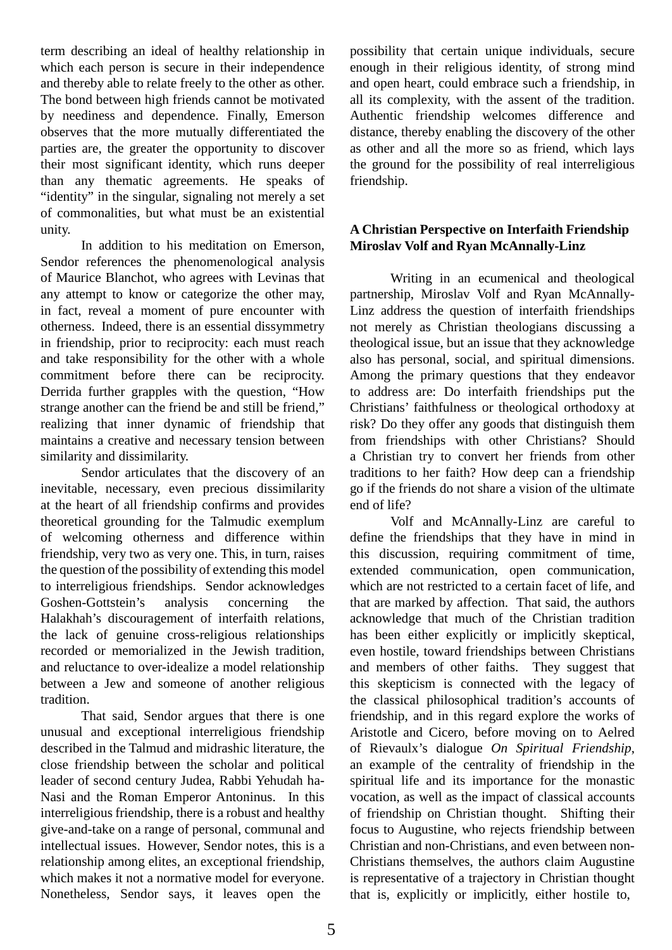term describing an ideal of healthy relationship in which each person is secure in their independence and thereby able to relate freely to the other as other. The bond between high friends cannot be motivated by neediness and dependence. Finally, Emerson observes that the more mutually differentiated the parties are, the greater the opportunity to discover their most significant identity, which runs deeper than any thematic agreements. He speaks of "identity" in the singular, signaling not merely a set of commonalities, but what must be an existential unity.

In addition to his meditation on Emerson, Sendor references the phenomenological analysis of Maurice Blanchot, who agrees with Levinas that any attempt to know or categorize the other may, in fact, reveal a moment of pure encounter with otherness. Indeed, there is an essential dissymmetry in friendship, prior to reciprocity: each must reach and take responsibility for the other with a whole commitment before there can be reciprocity. Derrida further grapples with the question, "How strange another can the friend be and still be friend," realizing that inner dynamic of friendship that maintains a creative and necessary tension between similarity and dissimilarity.

Sendor articulates that the discovery of an inevitable, necessary, even precious dissimilarity at the heart of all friendship confirms and provides theoretical grounding for the Talmudic exemplum of welcoming otherness and difference within friendship, very two as very one. This, in turn, raises the question of the possibility of extending this model to interreligious friendships. Sendor acknowledges Goshen-Gottstein's analysis concerning the Halakhah's discouragement of interfaith relations, the lack of genuine cross-religious relationships recorded or memorialized in the Jewish tradition, and reluctance to over-idealize a model relationship between a Jew and someone of another religious tradition.

That said, Sendor argues that there is one unusual and exceptional interreligious friendship described in the Talmud and midrashic literature, the close friendship between the scholar and political leader of second century Judea, Rabbi Yehudah ha-Nasi and the Roman Emperor Antoninus. In this interreligious friendship, there is a robust and healthy give-and-take on a range of personal, communal and intellectual issues. However, Sendor notes, this is a relationship among elites, an exceptional friendship, which makes it not a normative model for everyone. Nonetheless, Sendor says, it leaves open the

possibility that certain unique individuals, secure enough in their religious identity, of strong mind and open heart, could embrace such a friendship, in all its complexity, with the assent of the tradition. Authentic friendship welcomes difference and distance, thereby enabling the discovery of the other as other and all the more so as friend, which lays the ground for the possibility of real interreligious friendship.

# **A Christian Perspective on Interfaith Friendship Miroslav Volf and Ryan McAnnally-Linz**

Writing in an ecumenical and theological partnership, Miroslav Volf and Ryan McAnnally-Linz address the question of interfaith friendships not merely as Christian theologians discussing a theological issue, but an issue that they acknowledge also has personal, social, and spiritual dimensions. Among the primary questions that they endeavor to address are: Do interfaith friendships put the Christians' faithfulness or theological orthodoxy at risk? Do they offer any goods that distinguish them from friendships with other Christians? Should a Christian try to convert her friends from other traditions to her faith? How deep can a friendship go if the friends do not share a vision of the ultimate end of life?

Volf and McAnnally-Linz are careful to define the friendships that they have in mind in this discussion, requiring commitment of time, extended communication, open communication, which are not restricted to a certain facet of life, and that are marked by affection. That said, the authors acknowledge that much of the Christian tradition has been either explicitly or implicitly skeptical, even hostile, toward friendships between Christians and members of other faiths. They suggest that this skepticism is connected with the legacy of the classical philosophical tradition's accounts of friendship, and in this regard explore the works of Aristotle and Cicero, before moving on to Aelred of Rievaulx's dialogue *On Spiritual Friendship*, an example of the centrality of friendship in the spiritual life and its importance for the monastic vocation, as well as the impact of classical accounts of friendship on Christian thought. Shifting their focus to Augustine, who rejects friendship between Christian and non-Christians, and even between non-Christians themselves, the authors claim Augustine is representative of a trajectory in Christian thought that is, explicitly or implicitly, either hostile to,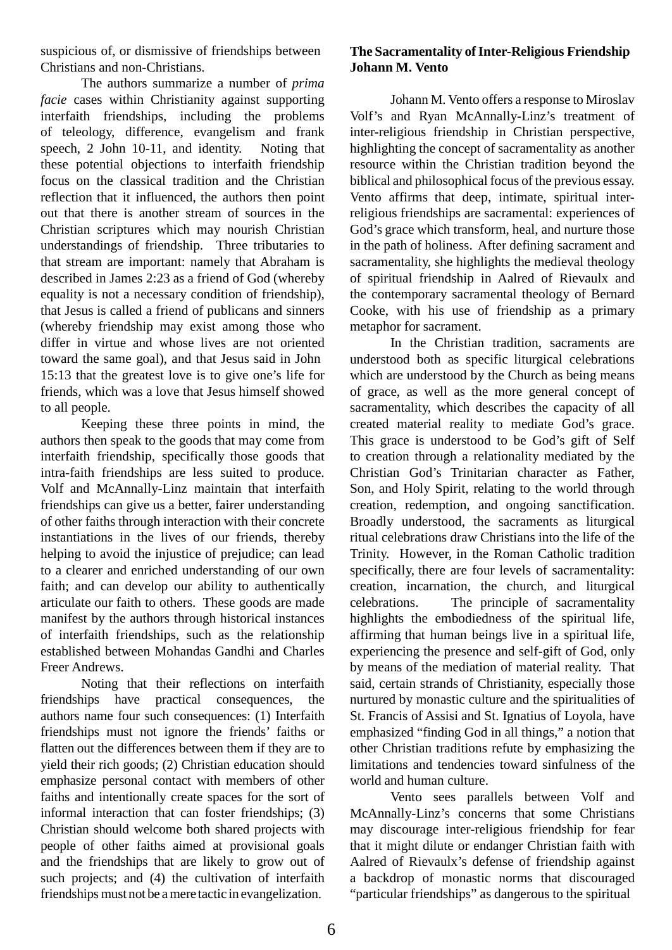suspicious of, or dismissive of friendships between Christians and non-Christians.

The authors summarize a number of *prima facie* cases within Christianity against supporting interfaith friendships, including the problems of teleology, difference, evangelism and frank speech, 2 John 10-11, and identity. Noting that these potential objections to interfaith friendship focus on the classical tradition and the Christian reflection that it influenced, the authors then point out that there is another stream of sources in the Christian scriptures which may nourish Christian understandings of friendship. Three tributaries to that stream are important: namely that Abraham is described in James 2:23 as a friend of God (whereby equality is not a necessary condition of friendship), that Jesus is called a friend of publicans and sinners (whereby friendship may exist among those who differ in virtue and whose lives are not oriented toward the same goal), and that Jesus said in John 15:13 that the greatest love is to give one's life for friends, which was a love that Jesus himself showed to all people.

Keeping these three points in mind, the authors then speak to the goods that may come from interfaith friendship, specifically those goods that intra-faith friendships are less suited to produce. Volf and McAnnally-Linz maintain that interfaith friendships can give us a better, fairer understanding of other faiths through interaction with their concrete instantiations in the lives of our friends, thereby helping to avoid the injustice of prejudice; can lead to a clearer and enriched understanding of our own faith; and can develop our ability to authentically articulate our faith to others. These goods are made manifest by the authors through historical instances of interfaith friendships, such as the relationship established between Mohandas Gandhi and Charles Freer Andrews.

Noting that their reflections on interfaith friendships have practical consequences, the authors name four such consequences: (1) Interfaith friendships must not ignore the friends' faiths or flatten out the differences between them if they are to yield their rich goods; (2) Christian education should emphasize personal contact with members of other faiths and intentionally create spaces for the sort of informal interaction that can foster friendships; (3) Christian should welcome both shared projects with people of other faiths aimed at provisional goals and the friendships that are likely to grow out of such projects; and (4) the cultivation of interfaith friendships must not be amere tactic in evangelization.

## **The Sacramentality ofInter-Religious Friendship Johann M. Vento**

Johann M. Vento offers a response to Miroslav Volf's and Ryan McAnnally-Linz's treatment of inter-religious friendship in Christian perspective, highlighting the concept of sacramentality as another resource within the Christian tradition beyond the biblical and philosophical focus of the previous essay. Vento affirms that deep, intimate, spiritual interreligious friendships are sacramental: experiences of God's grace which transform, heal, and nurture those in the path of holiness. After defining sacrament and sacramentality, she highlights the medieval theology of spiritual friendship in Aalred of Rievaulx and the contemporary sacramental theology of Bernard Cooke, with his use of friendship as a primary metaphor for sacrament.

In the Christian tradition, sacraments are understood both as specific liturgical celebrations which are understood by the Church as being means of grace, as well as the more general concept of sacramentality, which describes the capacity of all created material reality to mediate God's grace. This grace is understood to be God's gift of Self to creation through a relationality mediated by the Christian God's Trinitarian character as Father, Son, and Holy Spirit, relating to the world through creation, redemption, and ongoing sanctification. Broadly understood, the sacraments as liturgical ritual celebrations draw Christians into the life of the Trinity. However, in the Roman Catholic tradition specifically, there are four levels of sacramentality: creation, incarnation, the church, and liturgical celebrations. The principle of sacramentality highlights the embodiedness of the spiritual life, affirming that human beings live in a spiritual life, experiencing the presence and self-gift of God, only by means of the mediation of material reality. That said, certain strands of Christianity, especially those nurtured by monastic culture and the spiritualities of St. Francis of Assisi and St. Ignatius of Loyola, have emphasized "finding God in all things," a notion that other Christian traditions refute by emphasizing the limitations and tendencies toward sinfulness of the world and human culture.

Vento sees parallels between Volf and McAnnally-Linz's concerns that some Christians may discourage inter-religious friendship for fear that it might dilute or endanger Christian faith with Aalred of Rievaulx's defense of friendship against a backdrop of monastic norms that discouraged "particular friendships" as dangerous to the spiritual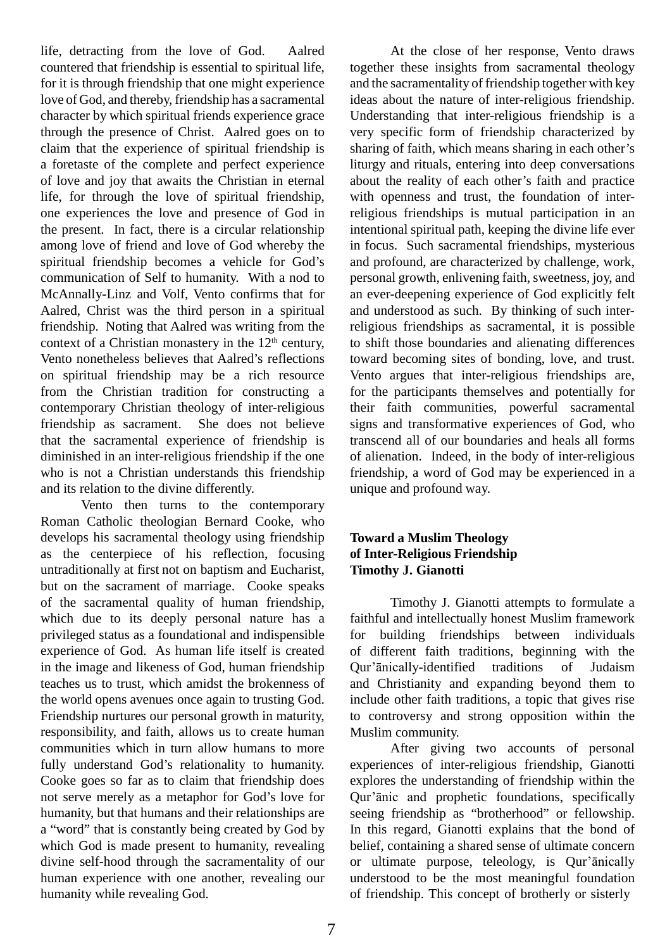life, detracting from the love of God. Aalred countered that friendship is essential to spiritual life, for it is through friendship that one might experience love of God, and thereby, friendship has a sacramental character by which spiritual friends experience grace through the presence of Christ. Aalred goes on to claim that the experience of spiritual friendship is a foretaste of the complete and perfect experience of love and joy that awaits the Christian in eternal life, for through the love of spiritual friendship, one experiences the love and presence of God in the present. In fact, there is a circular relationship among love of friend and love of God whereby the spiritual friendship becomes a vehicle for God's communication of Self to humanity. With a nod to McAnnally-Linz and Volf, Vento confirms that for Aalred, Christ was the third person in a spiritual friendship. Noting that Aalred was writing from the context of a Christian monastery in the  $12<sup>th</sup>$  century, Vento nonetheless believes that Aalred's reflections on spiritual friendship may be a rich resource from the Christian tradition for constructing a contemporary Christian theology of inter-religious friendship as sacrament. She does not believe that the sacramental experience of friendship is diminished in an inter-religious friendship if the one who is not a Christian understands this friendship and its relation to the divine differently.

Vento then turns to the contemporary Roman Catholic theologian Bernard Cooke, who develops his sacramental theology using friendship as the centerpiece of his reflection, focusing untraditionally at first not on baptism and Eucharist, but on the sacrament of marriage. Cooke speaks of the sacramental quality of human friendship, which due to its deeply personal nature has a privileged status as a foundational and indispensible experience of God. As human life itself is created in the image and likeness of God, human friendship teaches us to trust, which amidst the brokenness of the world opens avenues once again to trusting God. Friendship nurtures our personal growth in maturity, responsibility, and faith, allows us to create human communities which in turn allow humans to more fully understand God's relationality to humanity. Cooke goes so far as to claim that friendship does not serve merely as a metaphor for God's love for humanity, but that humans and their relationships are a "word" that is constantly being created by God by which God is made present to humanity, revealing divine self-hood through the sacramentality of our human experience with one another, revealing our humanity while revealing God.

At the close of her response, Vento draws together these insights from sacramental theology and the sacramentality of friendship together with key ideas about the nature of inter-religious friendship. Understanding that inter-religious friendship is a very specific form of friendship characterized by sharing of faith, which means sharing in each other's liturgy and rituals, entering into deep conversations about the reality of each other's faith and practice with openness and trust, the foundation of interreligious friendships is mutual participation in an intentional spiritual path, keeping the divine life ever in focus. Such sacramental friendships, mysterious and profound, are characterized by challenge, work, personal growth, enlivening faith, sweetness, joy, and an ever-deepening experience of God explicitly felt and understood as such. By thinking of such interreligious friendships as sacramental, it is possible to shift those boundaries and alienating differences toward becoming sites of bonding, love, and trust. Vento argues that inter-religious friendships are, for the participants themselves and potentially for their faith communities, powerful sacramental signs and transformative experiences of God, who transcend all of our boundaries and heals all forms of alienation. Indeed, in the body of inter-religious friendship, a word of God may be experienced in a unique and profound way.

# **Toward a Muslim Theology of Inter-Religious Friendship Timothy J. Gianotti**

Timothy J. Gianotti attempts to formulate a faithful and intellectually honest Muslim framework for building friendships between individuals of different faith traditions, beginning with the Qur'ānically-identified traditions of Judaism and Christianity and expanding beyond them to include other faith traditions, a topic that gives rise to controversy and strong opposition within the Muslim community.

After giving two accounts of personal experiences of inter-religious friendship, Gianotti explores the understanding of friendship within the Qur'ānic and prophetic foundations, specifically seeing friendship as "brotherhood" or fellowship. In this regard, Gianotti explains that the bond of belief, containing a shared sense of ultimate concern or ultimate purpose, teleology, is Qur'ānically understood to be the most meaningful foundation of friendship. This concept of brotherly or sisterly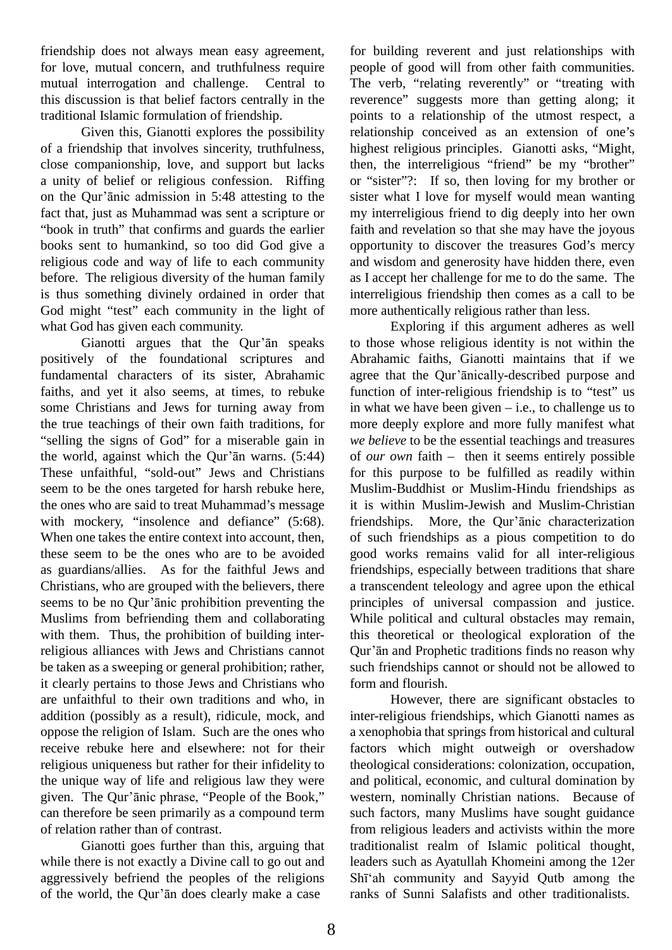friendship does not always mean easy agreement, for love, mutual concern, and truthfulness require mutual interrogation and challenge. Central to this discussion is that belief factors centrally in the traditional Islamic formulation of friendship.

Given this, Gianotti explores the possibility of a friendship that involves sincerity, truthfulness, close companionship, love, and support but lacks a unity of belief or religious confession. Riffing on the Qur'ānic admission in 5:48 attesting to the fact that, just as Muhammad was sent a scripture or "book in truth" that confirms and guards the earlier books sent to humankind, so too did God give a religious code and way of life to each community before. The religious diversity of the human family is thus something divinely ordained in order that God might "test" each community in the light of what God has given each community.

Gianotti argues that the Qur'ān speaks positively of the foundational scriptures and fundamental characters of its sister, Abrahamic faiths, and yet it also seems, at times, to rebuke some Christians and Jews for turning away from the true teachings of their own faith traditions, for "selling the signs of God" for a miserable gain in the world, against which the Qur'ān warns. (5:44) These unfaithful, "sold-out" Jews and Christians seem to be the ones targeted for harsh rebuke here, the ones who are said to treat Muhammad's message with mockery, "insolence and defiance" (5:68). When one takes the entire context into account, then, these seem to be the ones who are to be avoided as guardians/allies. As for the faithful Jews and Christians, who are grouped with the believers, there seems to be no Qur'ānic prohibition preventing the Muslims from befriending them and collaborating with them. Thus, the prohibition of building interreligious alliances with Jews and Christians cannot be taken as a sweeping or general prohibition; rather, it clearly pertains to those Jews and Christians who are unfaithful to their own traditions and who, in addition (possibly as a result), ridicule, mock, and oppose the religion of Islam. Such are the ones who receive rebuke here and elsewhere: not for their religious uniqueness but rather for their infidelity to the unique way of life and religious law they were given. The Qur'ānic phrase, "People of the Book," can therefore be seen primarily as a compound term of relation rather than of contrast.

Gianotti goes further than this, arguing that while there is not exactly a Divine call to go out and aggressively befriend the peoples of the religions of the world, the Qur'ān does clearly make a case

for building reverent and just relationships with people of good will from other faith communities. The verb, "relating reverently" or "treating with reverence" suggests more than getting along; it points to a relationship of the utmost respect, a relationship conceived as an extension of one's highest religious principles. Gianotti asks, "Might, then, the interreligious "friend" be my "brother" or "sister"?: If so, then loving for my brother or sister what I love for myself would mean wanting my interreligious friend to dig deeply into her own faith and revelation so that she may have the joyous opportunity to discover the treasures God's mercy and wisdom and generosity have hidden there, even as I accept her challenge for me to do the same. The interreligious friendship then comes as a call to be more authentically religious rather than less.

Exploring if this argument adheres as well to those whose religious identity is not within the Abrahamic faiths, Gianotti maintains that if we agree that the Qur'ānically-described purpose and function of inter-religious friendship is to "test" us in what we have been given  $-$  i.e., to challenge us to more deeply explore and more fully manifest what *we believe* to be the essential teachings and treasures of *our own* faith – then it seems entirely possible for this purpose to be fulfilled as readily within Muslim-Buddhist or Muslim-Hindu friendships as it is within Muslim-Jewish and Muslim-Christian friendships. More, the Qur'ānic characterization of such friendships as a pious competition to do good works remains valid for all inter-religious friendships, especially between traditions that share a transcendent teleology and agree upon the ethical principles of universal compassion and justice. While political and cultural obstacles may remain, this theoretical or theological exploration of the Qur'ān and Prophetic traditions finds no reason why such friendships cannot or should not be allowed to form and flourish.

However, there are significant obstacles to inter-religious friendships, which Gianotti names as a xenophobia that springs from historical and cultural factors which might outweigh or overshadow theological considerations: colonization, occupation, and political, economic, and cultural domination by western, nominally Christian nations. Because of such factors, many Muslims have sought guidance from religious leaders and activists within the more traditionalist realm of Islamic political thought, leaders such as Ayatullah Khomeini among the 12er Shī'ah community and Sayyid Qutb among the ranks of Sunni Salafists and other traditionalists.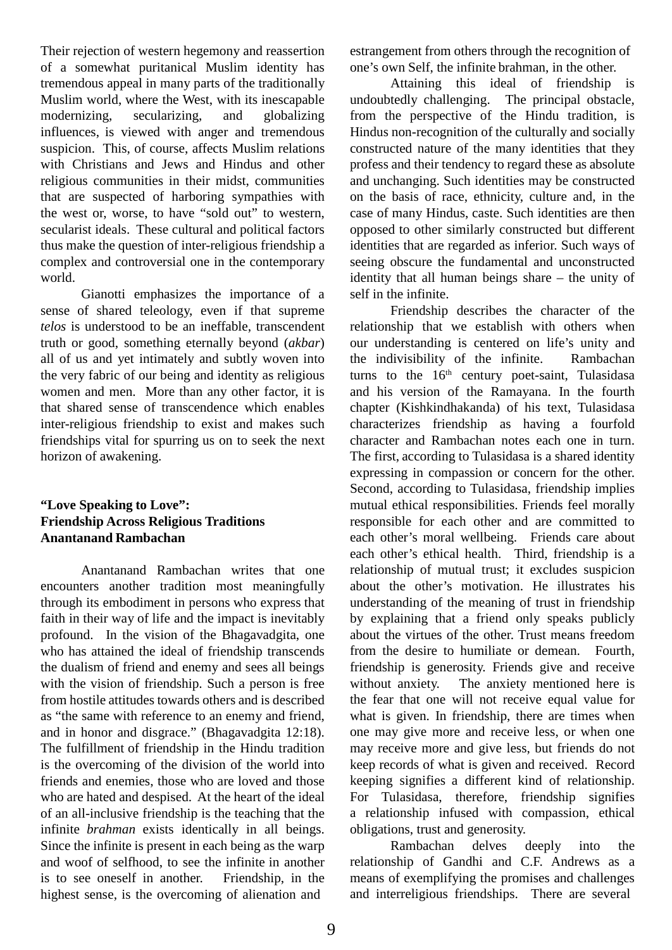Their rejection of western hegemony and reassertion of a somewhat puritanical Muslim identity has tremendous appeal in many parts of the traditionally Muslim world, where the West, with its inescapable modernizing, secularizing, and globalizing influences, is viewed with anger and tremendous suspicion. This, of course, affects Muslim relations with Christians and Jews and Hindus and other religious communities in their midst, communities that are suspected of harboring sympathies with the west or, worse, to have "sold out" to western, secularist ideals. These cultural and political factors thus make the question of inter-religious friendship a complex and controversial one in the contemporary world.

Gianotti emphasizes the importance of a sense of shared teleology, even if that supreme *telos* is understood to be an ineffable, transcendent truth or good, something eternally beyond (*akbar*) all of us and yet intimately and subtly woven into the very fabric of our being and identity as religious women and men. More than any other factor, it is that shared sense of transcendence which enables inter-religious friendship to exist and makes such friendships vital for spurring us on to seek the next horizon of awakening.

## **"Love Speaking to Love": Friendship Across Religious Traditions Anantanand Rambachan**

Anantanand Rambachan writes that one encounters another tradition most meaningfully through its embodiment in persons who express that faith in their way of life and the impact is inevitably profound. In the vision of the Bhagavadgita, one who has attained the ideal of friendship transcends the dualism of friend and enemy and sees all beings with the vision of friendship. Such a person is free from hostile attitudes towards others and is described as "the same with reference to an enemy and friend, and in honor and disgrace." (Bhagavadgita 12:18). The fulfillment of friendship in the Hindu tradition is the overcoming of the division of the world into friends and enemies, those who are loved and those who are hated and despised. At the heart of the ideal of an all-inclusive friendship is the teaching that the infinite *brahman* exists identically in all beings. Since the infinite is present in each being as the warp and woof of selfhood, to see the infinite in another is to see oneself in another. Friendship, in the highest sense, is the overcoming of alienation and

estrangement from others through the recognition of one's own Self, the infinite brahman, in the other.

Attaining this ideal of friendship is undoubtedly challenging. The principal obstacle, from the perspective of the Hindu tradition, is Hindus non-recognition of the culturally and socially constructed nature of the many identities that they profess and their tendency to regard these as absolute and unchanging. Such identities may be constructed on the basis of race, ethnicity, culture and, in the case of many Hindus, caste. Such identities are then opposed to other similarly constructed but different identities that are regarded as inferior. Such ways of seeing obscure the fundamental and unconstructed identity that all human beings share – the unity of self in the infinite.

Friendship describes the character of the relationship that we establish with others when our understanding is centered on life's unity and the indivisibility of the infinite. Rambachan turns to the  $16<sup>th</sup>$  century poet-saint, Tulasidasa and his version of the Ramayana. In the fourth chapter (Kishkindhakanda) of his text, Tulasidasa characterizes friendship as having a fourfold character and Rambachan notes each one in turn. The first, according to Tulasidasa is a shared identity expressing in compassion or concern for the other. Second, according to Tulasidasa, friendship implies mutual ethical responsibilities. Friends feel morally responsible for each other and are committed to each other's moral wellbeing. Friends care about each other's ethical health. Third, friendship is a relationship of mutual trust; it excludes suspicion about the other's motivation. He illustrates his understanding of the meaning of trust in friendship by explaining that a friend only speaks publicly about the virtues of the other. Trust means freedom from the desire to humiliate or demean. Fourth, friendship is generosity. Friends give and receive without anxiety. The anxiety mentioned here is the fear that one will not receive equal value for what is given. In friendship, there are times when one may give more and receive less, or when one may receive more and give less, but friends do not keep records of what is given and received. Record keeping signifies a different kind of relationship. For Tulasidasa, therefore, friendship signifies a relationship infused with compassion, ethical obligations, trust and generosity.

Rambachan delves deeply into the relationship of Gandhi and C.F. Andrews as a means of exemplifying the promises and challenges and interreligious friendships. There are several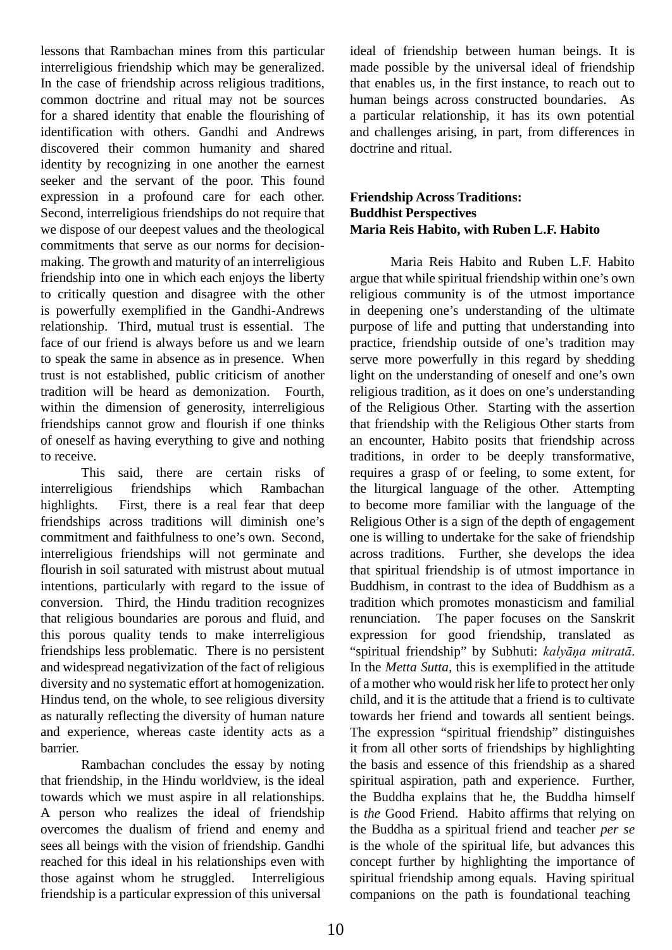lessons that Rambachan mines from this particular interreligious friendship which may be generalized. In the case of friendship across religious traditions, common doctrine and ritual may not be sources for a shared identity that enable the flourishing of identification with others. Gandhi and Andrews discovered their common humanity and shared identity by recognizing in one another the earnest seeker and the servant of the poor. This found expression in a profound care for each other. Second, interreligious friendships do not require that we dispose of our deepest values and the theological commitments that serve as our norms for decisionmaking. The growth and maturity of an interreligious friendship into one in which each enjoys the liberty to critically question and disagree with the other is powerfully exemplified in the Gandhi-Andrews relationship. Third, mutual trust is essential. The face of our friend is always before us and we learn to speak the same in absence as in presence. When trust is not established, public criticism of another tradition will be heard as demonization. Fourth, within the dimension of generosity, interreligious friendships cannot grow and flourish if one thinks of oneself as having everything to give and nothing to receive.

This said, there are certain risks of interreligious friendships which Rambachan highlights. First, there is a real fear that deep friendships across traditions will diminish one's commitment and faithfulness to one's own. Second, interreligious friendships will not germinate and flourish in soil saturated with mistrust about mutual intentions, particularly with regard to the issue of conversion. Third, the Hindu tradition recognizes that religious boundaries are porous and fluid, and this porous quality tends to make interreligious friendships less problematic. There is no persistent and widespread negativization of the fact of religious diversity and no systematic effort at homogenization. Hindus tend, on the whole, to see religious diversity as naturally reflecting the diversity of human nature and experience, whereas caste identity acts as a barrier.

Rambachan concludes the essay by noting that friendship, in the Hindu worldview, is the ideal towards which we must aspire in all relationships. A person who realizes the ideal of friendship overcomes the dualism of friend and enemy and sees all beings with the vision of friendship. Gandhi reached for this ideal in his relationships even with those against whom he struggled. Interreligious friendship is a particular expression of this universal

ideal of friendship between human beings. It is made possible by the universal ideal of friendship that enables us, in the first instance, to reach out to human beings across constructed boundaries. As a particular relationship, it has its own potential and challenges arising, in part, from differences in doctrine and ritual.

#### **Friendship Across Traditions: Buddhist Perspectives Maria Reis Habito, with Ruben L.F. Habito**

Maria Reis Habito and Ruben L.F. Habito argue that while spiritual friendship within one's own religious community is of the utmost importance in deepening one's understanding of the ultimate purpose of life and putting that understanding into practice, friendship outside of one's tradition may serve more powerfully in this regard by shedding light on the understanding of oneself and one's own religious tradition, as it does on one's understanding of the Religious Other. Starting with the assertion that friendship with the Religious Other starts from an encounter, Habito posits that friendship across traditions, in order to be deeply transformative, requires a grasp of or feeling, to some extent, for the liturgical language of the other. Attempting to become more familiar with the language of the Religious Other is a sign of the depth of engagement one is willing to undertake for the sake of friendship across traditions. Further, she develops the idea that spiritual friendship is of utmost importance in Buddhism, in contrast to the idea of Buddhism as a tradition which promotes monasticism and familial renunciation. The paper focuses on the Sanskrit expression for good friendship, translated as "spiritual friendship" by Subhuti: *kalyāņa mitratā*. In the *Metta Sutta,* this is exemplified in the attitude of a mother who would risk her life to protect her only child, and it is the attitude that a friend is to cultivate towards her friend and towards all sentient beings. The expression "spiritual friendship" distinguishes it from all other sorts of friendships by highlighting the basis and essence of this friendship as a shared spiritual aspiration, path and experience. Further, the Buddha explains that he, the Buddha himself is *the* Good Friend. Habito affirms that relying on the Buddha as a spiritual friend and teacher *per se*  is the whole of the spiritual life, but advances this concept further by highlighting the importance of spiritual friendship among equals. Having spiritual companions on the path is foundational teaching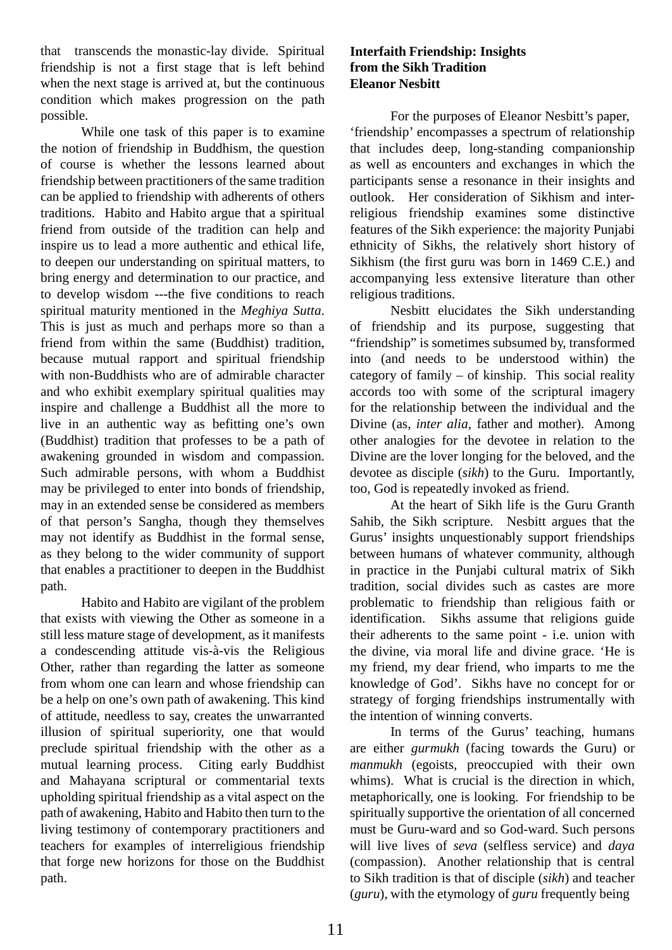that transcends the monastic-lay divide. Spiritual friendship is not a first stage that is left behind when the next stage is arrived at, but the continuous condition which makes progression on the path possible.

While one task of this paper is to examine the notion of friendship in Buddhism, the question of course is whether the lessons learned about friendship between practitioners of the same tradition can be applied to friendship with adherents of others traditions. Habito and Habito argue that a spiritual friend from outside of the tradition can help and inspire us to lead a more authentic and ethical life, to deepen our understanding on spiritual matters, to bring energy and determination to our practice, and to develop wisdom ---the five conditions to reach spiritual maturity mentioned in the *Meghiya Sutta*. This is just as much and perhaps more so than a friend from within the same (Buddhist) tradition, because mutual rapport and spiritual friendship with non-Buddhists who are of admirable character and who exhibit exemplary spiritual qualities may inspire and challenge a Buddhist all the more to live in an authentic way as befitting one's own (Buddhist) tradition that professes to be a path of awakening grounded in wisdom and compassion. Such admirable persons, with whom a Buddhist may be privileged to enter into bonds of friendship, may in an extended sense be considered as members of that person's Sangha, though they themselves may not identify as Buddhist in the formal sense, as they belong to the wider community of support that enables a practitioner to deepen in the Buddhist path.

Habito and Habito are vigilant of the problem that exists with viewing the Other as someone in a still less mature stage of development, as it manifests a condescending attitude vis-à-vis the Religious Other, rather than regarding the latter as someone from whom one can learn and whose friendship can be a help on one's own path of awakening. This kind of attitude, needless to say, creates the unwarranted illusion of spiritual superiority, one that would preclude spiritual friendship with the other as a mutual learning process. Citing early Buddhist and Mahayana scriptural or commentarial texts upholding spiritual friendship as a vital aspect on the path of awakening, Habito and Habito then turn to the living testimony of contemporary practitioners and teachers for examples of interreligious friendship that forge new horizons for those on the Buddhist path.

#### **Interfaith Friendship: Insights from the Sikh Tradition Eleanor Nesbitt**

For the purposes of Eleanor Nesbitt's paper, 'friendship' encompasses a spectrum of relationship that includes deep, long-standing companionship as well as encounters and exchanges in which the participants sense a resonance in their insights and outlook. Her consideration of Sikhism and interreligious friendship examines some distinctive features of the Sikh experience: the majority Punjabi ethnicity of Sikhs, the relatively short history of Sikhism (the first guru was born in 1469 C.E.) and accompanying less extensive literature than other religious traditions.

Nesbitt elucidates the Sikh understanding of friendship and its purpose, suggesting that "friendship" is sometimes subsumed by, transformed into (and needs to be understood within) the category of family – of kinship. This social reality accords too with some of the scriptural imagery for the relationship between the individual and the Divine (as, *inter alia*, father and mother). Among other analogies for the devotee in relation to the Divine are the lover longing for the beloved, and the devotee as disciple (*sikh*) to the Guru. Importantly, too, God is repeatedly invoked as friend.

At the heart of Sikh life is the Guru Granth Sahib, the Sikh scripture. Nesbitt argues that the Gurus' insights unquestionably support friendships between humans of whatever community, although in practice in the Punjabi cultural matrix of Sikh tradition, social divides such as castes are more problematic to friendship than religious faith or identification. Sikhs assume that religions guide their adherents to the same point - i.e. union with the divine, via moral life and divine grace. 'He is my friend, my dear friend, who imparts to me the knowledge of God'. Sikhs have no concept for or strategy of forging friendships instrumentally with the intention of winning converts.

In terms of the Gurus' teaching, humans are either *gurmukh* (facing towards the Guru) or *manmukh* (egoists, preoccupied with their own whims). What is crucial is the direction in which, metaphorically, one is looking. For friendship to be spiritually supportive the orientation of all concerned must be Guru-ward and so God-ward. Such persons will live lives of *seva* (selfless service) and *daya*  (compassion). Another relationship that is central to Sikh tradition is that of disciple (*sikh*) and teacher (*guru*), with the etymology of *guru* frequently being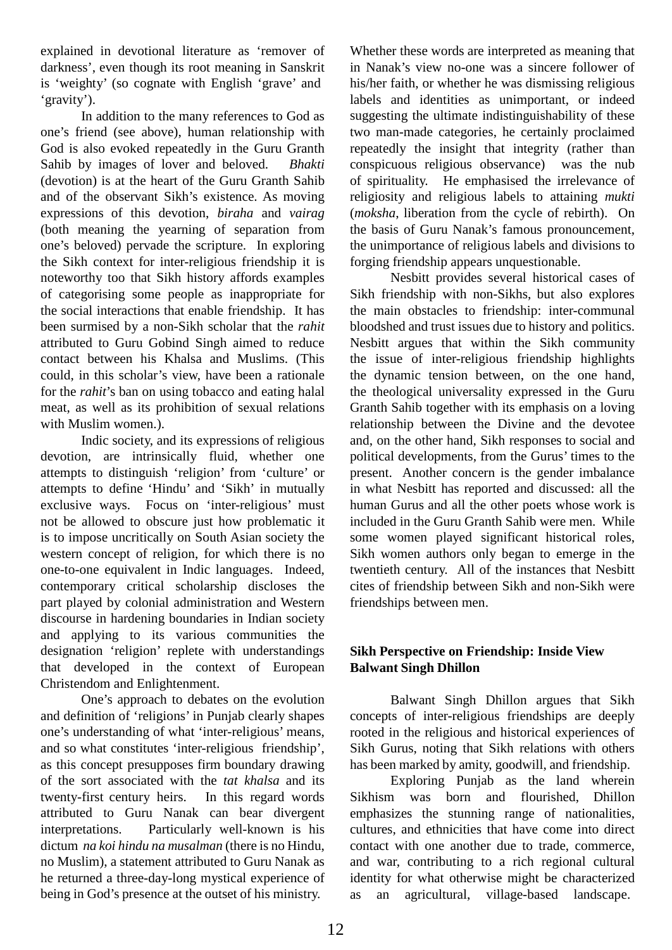explained in devotional literature as 'remover of darkness', even though its root meaning in Sanskrit is 'weighty' (so cognate with English 'grave' and 'gravity').

In addition to the many references to God as one's friend (see above), human relationship with God is also evoked repeatedly in the Guru Granth Sahib by images of lover and beloved. *Bhakti*  (devotion) is at the heart of the Guru Granth Sahib and of the observant Sikh's existence. As moving expressions of this devotion, *biraha* and *vairag*  (both meaning the yearning of separation from one's beloved) pervade the scripture. In exploring the Sikh context for inter-religious friendship it is noteworthy too that Sikh history affords examples of categorising some people as inappropriate for the social interactions that enable friendship. It has been surmised by a non-Sikh scholar that the *rahit*  attributed to Guru Gobind Singh aimed to reduce contact between his Khalsa and Muslims. (This could, in this scholar's view, have been a rationale for the *rahit*'s ban on using tobacco and eating halal meat, as well as its prohibition of sexual relations with Muslim women.).

Indic society, and its expressions of religious devotion, are intrinsically fluid, whether one attempts to distinguish 'religion' from 'culture' or attempts to define 'Hindu' and 'Sikh' in mutually exclusive ways. Focus on 'inter-religious' must not be allowed to obscure just how problematic it is to impose uncritically on South Asian society the western concept of religion, for which there is no one-to-one equivalent in Indic languages. Indeed, contemporary critical scholarship discloses the part played by colonial administration and Western discourse in hardening boundaries in Indian society and applying to its various communities the designation 'religion' replete with understandings that developed in the context of European Christendom and Enlightenment.

One's approach to debates on the evolution and definition of 'religions' in Punjab clearly shapes one's understanding of what 'inter-religious' means, and so what constitutes 'inter-religious friendship', as this concept presupposes firm boundary drawing of the sort associated with the *tat khalsa* and its twenty-first century heirs. In this regard words attributed to Guru Nanak can bear divergent interpretations. Particularly well-known is his dictum *na koi hindu na musalman* (there is no Hindu, no Muslim), a statement attributed to Guru Nanak as he returned a three-day-long mystical experience of being in God's presence at the outset of his ministry.

Whether these words are interpreted as meaning that in Nanak's view no-one was a sincere follower of his/her faith, or whether he was dismissing religious labels and identities as unimportant, or indeed suggesting the ultimate indistinguishability of these two man-made categories, he certainly proclaimed repeatedly the insight that integrity (rather than conspicuous religious observance) was the nub of spirituality. He emphasised the irrelevance of religiosity and religious labels to attaining *mukti*  (*moksha*, liberation from the cycle of rebirth). On the basis of Guru Nanak's famous pronouncement, the unimportance of religious labels and divisions to forging friendship appears unquestionable.

Nesbitt provides several historical cases of Sikh friendship with non-Sikhs, but also explores the main obstacles to friendship: inter-communal bloodshed and trust issues due to history and politics. Nesbitt argues that within the Sikh community the issue of inter-religious friendship highlights the dynamic tension between, on the one hand, the theological universality expressed in the Guru Granth Sahib together with its emphasis on a loving relationship between the Divine and the devotee and, on the other hand, Sikh responses to social and political developments, from the Gurus' times to the present. Another concern is the gender imbalance in what Nesbitt has reported and discussed: all the human Gurus and all the other poets whose work is included in the Guru Granth Sahib were men. While some women played significant historical roles, Sikh women authors only began to emerge in the twentieth century. All of the instances that Nesbitt cites of friendship between Sikh and non-Sikh were friendships between men.

## **Sikh Perspective on Friendship: Inside View Balwant Singh Dhillon**

Balwant Singh Dhillon argues that Sikh concepts of inter-religious friendships are deeply rooted in the religious and historical experiences of Sikh Gurus, noting that Sikh relations with others has been marked by amity, goodwill, and friendship.

Exploring Punjab as the land wherein Sikhism was born and flourished, Dhillon emphasizes the stunning range of nationalities, cultures, and ethnicities that have come into direct contact with one another due to trade, commerce, and war, contributing to a rich regional cultural identity for what otherwise might be characterized as an agricultural, village-based landscape.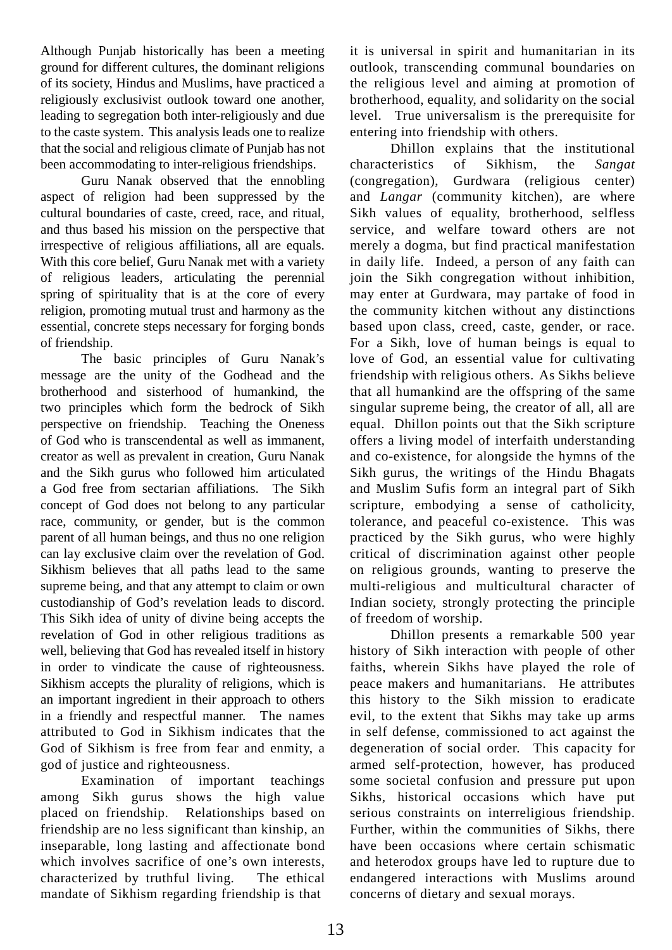Although Punjab historically has been a meeting ground for different cultures, the dominant religions of its society, Hindus and Muslims, have practiced a religiously exclusivist outlook toward one another, leading to segregation both inter-religiously and due to the caste system. This analysis leads one to realize that the social and religious climate of Punjab has not been accommodating to inter-religious friendships.

Guru Nanak observed that the ennobling aspect of religion had been suppressed by the cultural boundaries of caste, creed, race, and ritual, and thus based his mission on the perspective that irrespective of religious affiliations, all are equals. With this core belief, Guru Nanak met with a variety of religious leaders, articulating the perennial spring of spirituality that is at the core of every religion, promoting mutual trust and harmony as the essential, concrete steps necessary for forging bonds of friendship.

The basic principles of Guru Nanak's message are the unity of the Godhead and the brotherhood and sisterhood of humankind, the two principles which form the bedrock of Sikh perspective on friendship. Teaching the Oneness of God who is transcendental as well as immanent, creator as well as prevalent in creation, Guru Nanak and the Sikh gurus who followed him articulated a God free from sectarian affiliations. The Sikh concept of God does not belong to any particular race, community, or gender, but is the common parent of all human beings, and thus no one religion can lay exclusive claim over the revelation of God. Sikhism believes that all paths lead to the same supreme being, and that any attempt to claim or own custodianship of God's revelation leads to discord. This Sikh idea of unity of divine being accepts the revelation of God in other religious traditions as well, believing that God has revealed itself in history in order to vindicate the cause of righteousness. Sikhism accepts the plurality of religions, which is an important ingredient in their approach to others in a friendly and respectful manner. The names attributed to God in Sikhism indicates that the God of Sikhism is free from fear and enmity, a god of justice and righteousness.

Examination of important teachings among Sikh gurus shows the high value placed on friendship. Relationships based on friendship are no less significant than kinship, an inseparable, long lasting and affectionate bond which involves sacrifice of one's own interests, characterized by truthful living. The ethical mandate of Sikhism regarding friendship is that

it is universal in spirit and humanitarian in its outlook, transcending communal boundaries on the religious level and aiming at promotion of brotherhood, equality, and solidarity on the social level. True universalism is the prerequisite for entering into friendship with others.

Dhillon explains that the institutional characteristics of Sikhism, the *Sangat*  (congregation), Gurdwara (religious center) and *Langar* (community kitchen), are where Sikh values of equality, brotherhood, selfless service, and welfare toward others are not merely a dogma, but find practical manifestation in daily life. Indeed, a person of any faith can join the Sikh congregation without inhibition, may enter at Gurdwara, may partake of food in the community kitchen without any distinctions based upon class, creed, caste, gender, or race. For a Sikh, love of human beings is equal to love of God, an essential value for cultivating friendship with religious others. As Sikhs believe that all humankind are the offspring of the same singular supreme being, the creator of all, all are equal. Dhillon points out that the Sikh scripture offers a living model of interfaith understanding and co-existence, for alongside the hymns of the Sikh gurus, the writings of the Hindu Bhagats and Muslim Sufis form an integral part of Sikh scripture, embodying a sense of catholicity, tolerance, and peaceful co-existence. This was practiced by the Sikh gurus, who were highly critical of discrimination against other people on religious grounds, wanting to preserve the multi-religious and multicultural character of Indian society, strongly protecting the principle of freedom of worship.

Dhillon presents a remarkable 500 year history of Sikh interaction with people of other faiths, wherein Sikhs have played the role of peace makers and humanitarians. He attributes this history to the Sikh mission to eradicate evil, to the extent that Sikhs may take up arms in self defense, commissioned to act against the degeneration of social order. This capacity for armed self-protection, however, has produced some societal confusion and pressure put upon Sikhs, historical occasions which have put serious constraints on interreligious friendship. Further, within the communities of Sikhs, there have been occasions where certain schismatic and heterodox groups have led to rupture due to endangered interactions with Muslims around concerns of dietary and sexual morays.